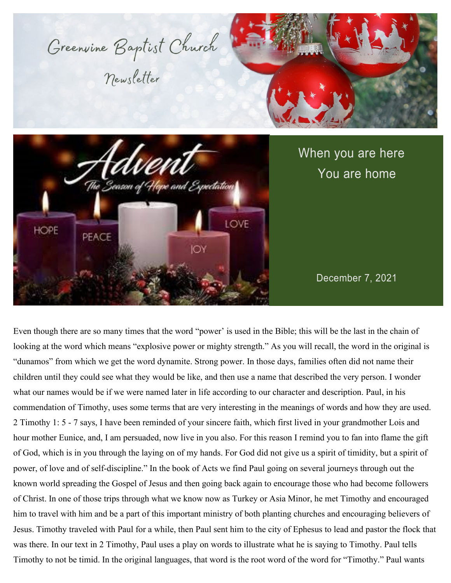



# When you are here You are home

December 7, 2021

Even though there are so many times that the word "power' is used in the Bible; this will be the last in the chain of looking at the word which means "explosive power or mighty strength." As you will recall, the word in the original is "dunamos" from which we get the word dynamite. Strong power. In those days, families often did not name their children until they could see what they would be like, and then use a name that described the very person. I wonder what our names would be if we were named later in life according to our character and description. Paul, in his commendation of Timothy, uses some terms that are very interesting in the meanings of words and how they are used. 2 Timothy 1: 5 - 7 says, I have been reminded of your sincere faith, which first lived in your grandmother Lois and hour mother Eunice, and, I am persuaded, now live in you also. For this reason I remind you to fan into flame the gift of God, which is in you through the laying on of my hands. For God did not give us a spirit of timidity, but a spirit of power, of love and of self-discipline." In the book of Acts we find Paul going on several journeys through out the known world spreading the Gospel of Jesus and then going back again to encourage those who had become followers of Christ. In one of those trips through what we know now as Turkey or Asia Minor, he met Timothy and encouraged him to travel with him and be a part of this important ministry of both planting churches and encouraging believers of Jesus. Timothy traveled with Paul for a while, then Paul sent him to the city of Ephesus to lead and pastor the flock that was there. In our text in 2 Timothy, Paul uses a play on words to illustrate what he is saying to Timothy. Paul tells Timothy to not be timid. In the original languages, that word is the root word of the word for "Timothy." Paul wants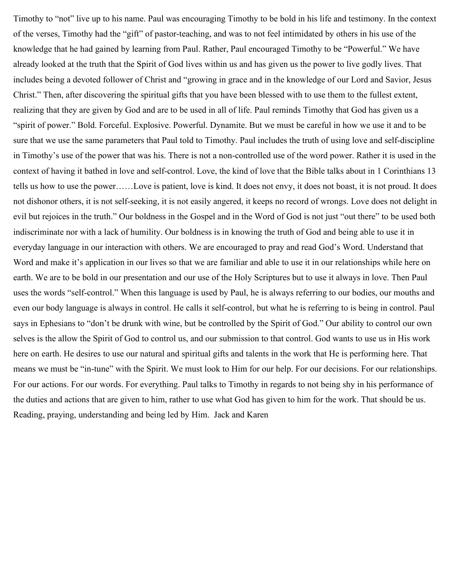Timothy to "not" live up to his name. Paul was encouraging Timothy to be bold in his life and testimony. In the context of the verses, Timothy had the "gift" of pastor-teaching, and was to not feel intimidated by others in his use of the knowledge that he had gained by learning from Paul. Rather, Paul encouraged Timothy to be "Powerful." We have already looked at the truth that the Spirit of God lives within us and has given us the power to live godly lives. That includes being a devoted follower of Christ and "growing in grace and in the knowledge of our Lord and Savior, Jesus Christ." Then, after discovering the spiritual gifts that you have been blessed with to use them to the fullest extent, realizing that they are given by God and are to be used in all of life. Paul reminds Timothy that God has given us a "spirit of power." Bold. Forceful. Explosive. Powerful. Dynamite. But we must be careful in how we use it and to be sure that we use the same parameters that Paul told to Timothy. Paul includes the truth of using love and self-discipline in Timothy's use of the power that was his. There is not a non-controlled use of the word power. Rather it is used in the context of having it bathed in love and self-control. Love, the kind of love that the Bible talks about in 1 Corinthians 13 tells us how to use the power……Love is patient, love is kind. It does not envy, it does not boast, it is not proud. It does not dishonor others, it is not self-seeking, it is not easily angered, it keeps no record of wrongs. Love does not delight in evil but rejoices in the truth." Our boldness in the Gospel and in the Word of God is not just "out there" to be used both indiscriminate nor with a lack of humility. Our boldness is in knowing the truth of God and being able to use it in everyday language in our interaction with others. We are encouraged to pray and read God's Word. Understand that Word and make it's application in our lives so that we are familiar and able to use it in our relationships while here on earth. We are to be bold in our presentation and our use of the Holy Scriptures but to use it always in love. Then Paul uses the words "self-control." When this language is used by Paul, he is always referring to our bodies, our mouths and even our body language is always in control. He calls it self-control, but what he is referring to is being in control. Paul says in Ephesians to "don't be drunk with wine, but be controlled by the Spirit of God." Our ability to control our own selves is the allow the Spirit of God to control us, and our submission to that control. God wants to use us in His work here on earth. He desires to use our natural and spiritual gifts and talents in the work that He is performing here. That means we must be "in-tune" with the Spirit. We must look to Him for our help. For our decisions. For our relationships. For our actions. For our words. For everything. Paul talks to Timothy in regards to not being shy in his performance of the duties and actions that are given to him, rather to use what God has given to him for the work. That should be us. Reading, praying, understanding and being led by Him. Jack and Karen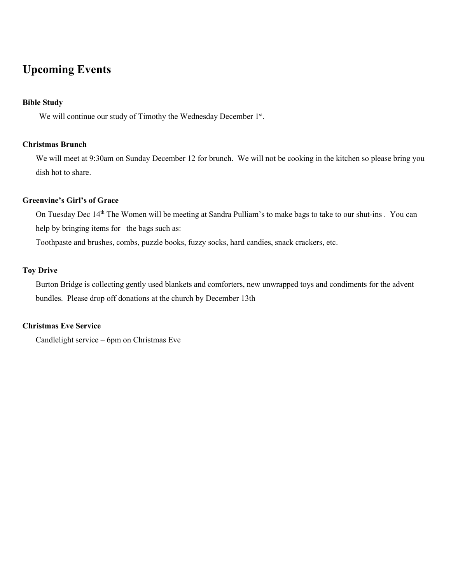### **Upcoming Events**

#### **Bible Study**

We will continue our study of Timothy the Wednesday December 1st.

#### **Christmas Brunch**

We will meet at 9:30am on Sunday December 12 for brunch. We will not be cooking in the kitchen so please bring you dish hot to share.

#### **Greenvine's Girl's of Grace**

On Tuesday Dec 14th The Women will be meeting at Sandra Pulliam's to make bags to take to our shut-ins . You can help by bringing items for the bags such as:

Toothpaste and brushes, combs, puzzle books, fuzzy socks, hard candies, snack crackers, etc.

#### **Toy Drive**

Burton Bridge is collecting gently used blankets and comforters, new unwrapped toys and condiments for the advent bundles. Please drop off donations at the church by December 13th

#### **Christmas Eve Service**

Candlelight service – 6pm on Christmas Eve